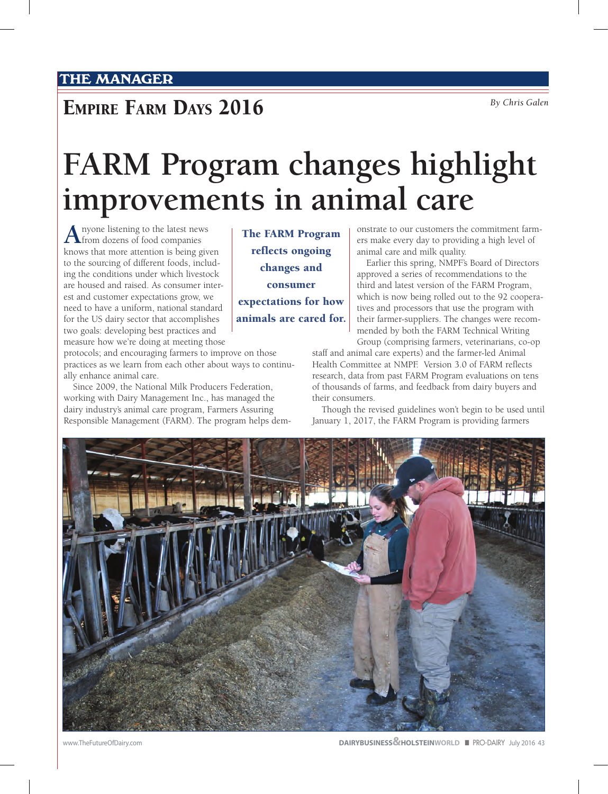## **EMPIRE FARM DAYS 2016** *By Chris Galen*

## **FARM Program changes highlight improvements in animal care**

**A** nyone listening to the latest news<br> **A** from dozens of food companies knows that more attention is being given to the sourcing of different foods, including the conditions under which livestock are housed and raised. As consumer interest and customer expectations grow, we need to have a uniform, national standard for the US dairy sector that accomplishes two goals: developing best practices and measure how we're doing at meeting those

protocols; and encouraging farmers to improve on those practices as we learn from each other about ways to continually enhance animal care.

Since 2009, the National Milk Producers Federation, working with Dairy Management Inc., has managed the dairy industry's animal care program, Farmers Assuring Responsible Management (FARM). The program helps dem-

The FARM Program reflects ongoing changes and consumer expectations for how animals are cared for. onstrate to our customers the commitment farmers make every day to providing a high level of animal care and milk quality.

Earlier this spring, NMPF's Board of Directors approved a series of recommendations to the third and latest version of the FARM Program, which is now being rolled out to the 92 cooperatives and processors that use the program with their farmer-suppliers. The changes were recommended by both the FARM Technical Writing Group (comprising farmers, veterinarians, co-op

staff and animal care experts) and the farmer-led Animal Health Committee at NMPF. Version 3.0 of FARM reflects research, data from past FARM Program evaluations on tens of thousands of farms, and feedback from dairy buyers and their consumers.

Though the revised guidelines won't begin to be used until January 1, 2017, the FARM Program is providing farmers